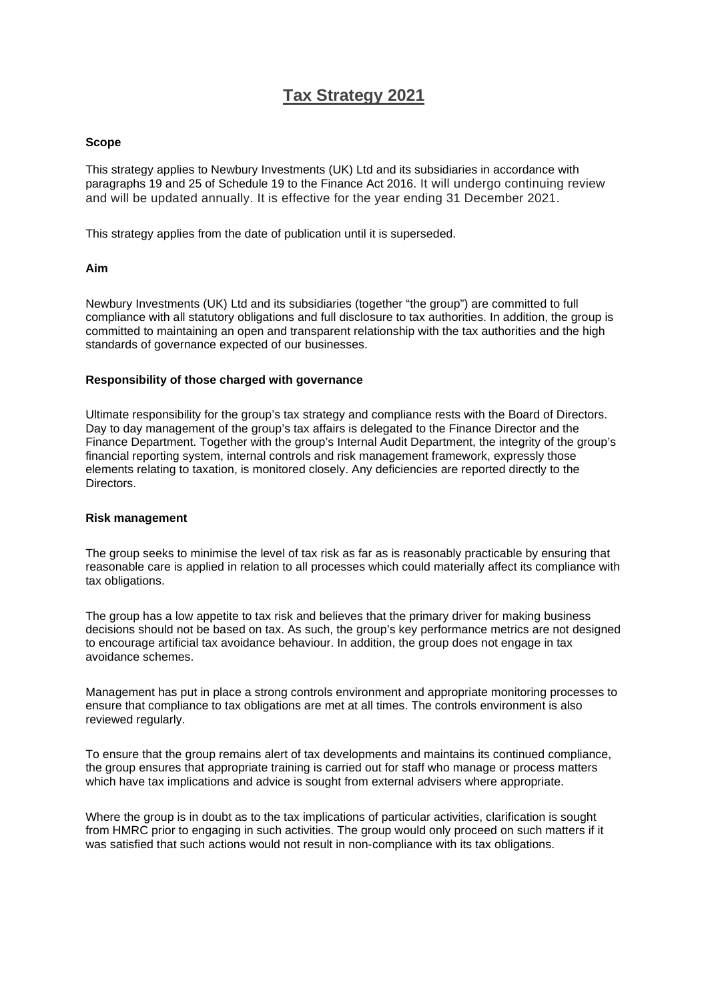# **Tax Strategy 2021**

#### **Scope**

This strategy applies to Newbury Investments (UK) Ltd and its subsidiaries in accordance with paragraphs 19 and 25 of Schedule 19 to the Finance Act 2016. It will undergo continuing review and will be updated annually. It is effective for the year ending 31 December 2021.

This strategy applies from the date of publication until it is superseded.

## **Aim**

Newbury Investments (UK) Ltd and its subsidiaries (together "the group") are committed to full compliance with all statutory obligations and full disclosure to tax authorities. In addition, the group is committed to maintaining an open and transparent relationship with the tax authorities and the high standards of governance expected of our businesses.

## **Responsibility of those charged with governance**

Ultimate responsibility for the group's tax strategy and compliance rests with the Board of Directors. Day to day management of the group's tax affairs is delegated to the Finance Director and the Finance Department. Together with the group's Internal Audit Department, the integrity of the group's financial reporting system, internal controls and risk management framework, expressly those elements relating to taxation, is monitored closely. Any deficiencies are reported directly to the Directors.

#### **Risk management**

The group seeks to minimise the level of tax risk as far as is reasonably practicable by ensuring that reasonable care is applied in relation to all processes which could materially affect its compliance with tax obligations.

The group has a low appetite to tax risk and believes that the primary driver for making business decisions should not be based on tax. As such, the group's key performance metrics are not designed to encourage artificial tax avoidance behaviour. In addition, the group does not engage in tax avoidance schemes.

Management has put in place a strong controls environment and appropriate monitoring processes to ensure that compliance to tax obligations are met at all times. The controls environment is also reviewed regularly.

To ensure that the group remains alert of tax developments and maintains its continued compliance, the group ensures that appropriate training is carried out for staff who manage or process matters which have tax implications and advice is sought from external advisers where appropriate.

Where the group is in doubt as to the tax implications of particular activities, clarification is sought from HMRC prior to engaging in such activities. The group would only proceed on such matters if it was satisfied that such actions would not result in non-compliance with its tax obligations.